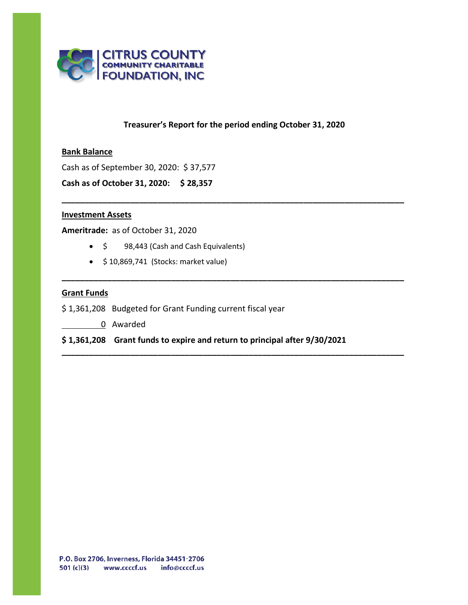

## **Treasurer's Report for the period ending October 31, 2020**

**\_\_\_\_\_\_\_\_\_\_\_\_\_\_\_\_\_\_\_\_\_\_\_\_\_\_\_\_\_\_\_\_\_\_\_\_\_\_\_\_\_\_\_\_\_\_\_\_\_\_\_\_\_\_\_\_\_\_\_\_\_\_\_\_\_\_\_\_\_\_\_\_\_\_\_**

**\_\_\_\_\_\_\_\_\_\_\_\_\_\_\_\_\_\_\_\_\_\_\_\_\_\_\_\_\_\_\_\_\_\_\_\_\_\_\_\_\_\_\_\_\_\_\_\_\_\_\_\_\_\_\_\_\_\_\_\_\_\_\_\_\_\_\_\_\_\_\_\_\_\_\_**

**\_\_\_\_\_\_\_\_\_\_\_\_\_\_\_\_\_\_\_\_\_\_\_\_\_\_\_\_\_\_\_\_\_\_\_\_\_\_\_\_\_\_\_\_\_\_\_\_\_\_\_\_\_\_\_\_\_\_\_\_\_\_\_\_\_\_\_\_\_\_\_\_\_\_\_**

#### **Bank Balance**

Cash as of September 30, 2020: \$ 37,577

**Cash as of October 31, 2020: \$ 28,357**

#### **Investment Assets**

**Ameritrade:** as of October 31, 2020

- \$ 98,443 (Cash and Cash Equivalents)
- \$ 10,869,741 (Stocks: market value)

#### **Grant Funds**

- \$ 1,361,208 Budgeted for Grant Funding current fiscal year
	- 0 Awarded

**\$ 1,361,208 Grant funds to expire and return to principal after 9/30/2021**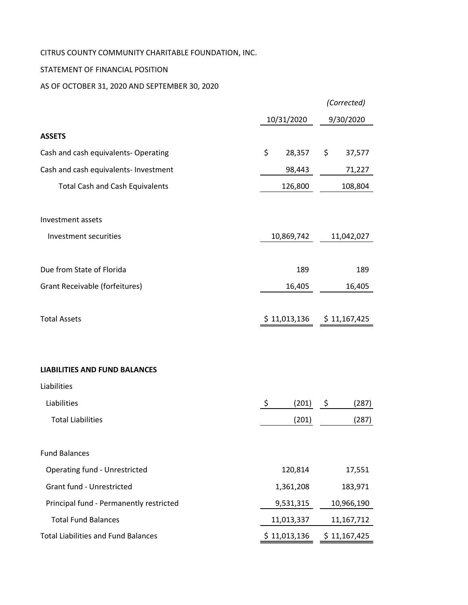# CITRUS COUNTY COMMUNITY CHARITABLE FOUNDATION, INC.

## STATEMENT OF FINANCIAL POSITION

## AS OF OCTOBER 31, 2020 AND SEPTEMBER 30, 2020

|                                            |              | (Corrected)   |  |
|--------------------------------------------|--------------|---------------|--|
|                                            | 10/31/2020   | 9/30/2020     |  |
| <b>ASSETS</b>                              |              |               |  |
| Cash and cash equivalents- Operating       | \$<br>28,357 | \$<br>37,577  |  |
| Cash and cash equivalents- Investment      | 98,443       | 71,227        |  |
| <b>Total Cash and Cash Equivalents</b>     | 126,800      | 108,804       |  |
| Investment assets                          |              |               |  |
| Investment securities                      | 10,869,742   | 11,042,027    |  |
| Due from State of Florida                  | 189          | 189           |  |
| Grant Receivable (forfeitures)             | 16,405       | 16,405        |  |
| <b>Total Assets</b>                        | \$11,013,136 | \$ 11,167,425 |  |
| <b>LIABILITIES AND FUND BALANCES</b>       |              |               |  |
| Liabilities                                |              |               |  |
| Liabilities                                | \$<br>(201)  | - \$<br>(287) |  |
| <b>Total Liabilities</b>                   | (201)        | (287)         |  |
| <b>Fund Balances</b>                       |              |               |  |
| <b>Operating fund - Unrestricted</b>       | 120,814      | 17,551        |  |
| Grant fund - Unrestricted                  | 1,361,208    | 183,971       |  |
| Principal fund - Permanently restricted    | 9,531,315    | 10,966,190    |  |
| <b>Total Fund Balances</b>                 | 11,013,337   | 11,167,712    |  |
| <b>Total Liabilities and Fund Balances</b> | \$11,013,136 | \$11,167,425  |  |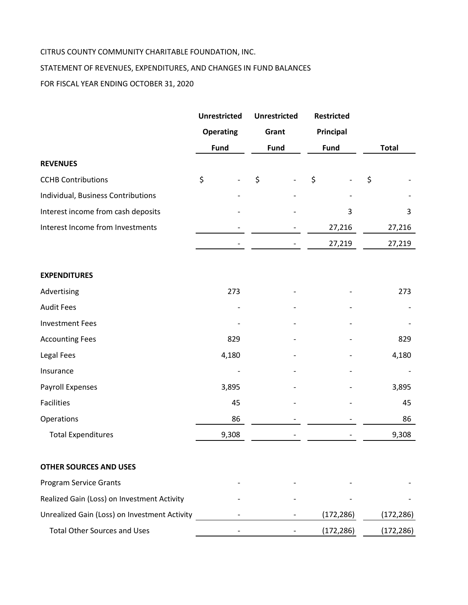## CITRUS COUNTY COMMUNITY CHARITABLE FOUNDATION, INC.

## STATEMENT OF REVENUES, EXPENDITURES, AND CHANGES IN FUND BALANCES

FOR FISCAL YEAR ENDING OCTOBER 31, 2020

|                                               | <b>Unrestricted</b> | <b>Unrestricted</b> | <b>Restricted</b> |              |  |
|-----------------------------------------------|---------------------|---------------------|-------------------|--------------|--|
|                                               | <b>Operating</b>    | Grant               | Principal         |              |  |
|                                               | <b>Fund</b>         | Fund                | Fund              | <b>Total</b> |  |
| <b>REVENUES</b>                               |                     |                     |                   |              |  |
| <b>CCHB Contributions</b>                     | \$                  | \$                  | \$                | \$           |  |
| Individual, Business Contributions            |                     |                     |                   |              |  |
| Interest income from cash deposits            |                     |                     | 3                 | 3            |  |
| Interest Income from Investments              |                     |                     | 27,216            | 27,216       |  |
|                                               |                     |                     | 27,219            | 27,219       |  |
| <b>EXPENDITURES</b>                           |                     |                     |                   |              |  |
| Advertising                                   | 273                 |                     |                   | 273          |  |
| <b>Audit Fees</b>                             |                     |                     |                   |              |  |
| <b>Investment Fees</b>                        |                     |                     |                   |              |  |
| <b>Accounting Fees</b>                        | 829                 |                     |                   | 829          |  |
| Legal Fees                                    | 4,180               |                     |                   | 4,180        |  |
| Insurance                                     |                     |                     |                   |              |  |
| Payroll Expenses                              | 3,895               |                     |                   | 3,895        |  |
| <b>Facilities</b>                             | 45                  |                     |                   | 45           |  |
| Operations                                    | 86                  |                     |                   | 86           |  |
| <b>Total Expenditures</b>                     | 9,308               |                     |                   | 9,308        |  |
| <b>OTHER SOURCES AND USES</b>                 |                     |                     |                   |              |  |
| <b>Program Service Grants</b>                 |                     |                     |                   |              |  |
| Realized Gain (Loss) on Investment Activity   |                     |                     |                   |              |  |
| Unrealized Gain (Loss) on Investment Activity |                     |                     | (172, 286)        | (172, 286)   |  |
| <b>Total Other Sources and Uses</b>           |                     |                     | (172, 286)        | (172, 286)   |  |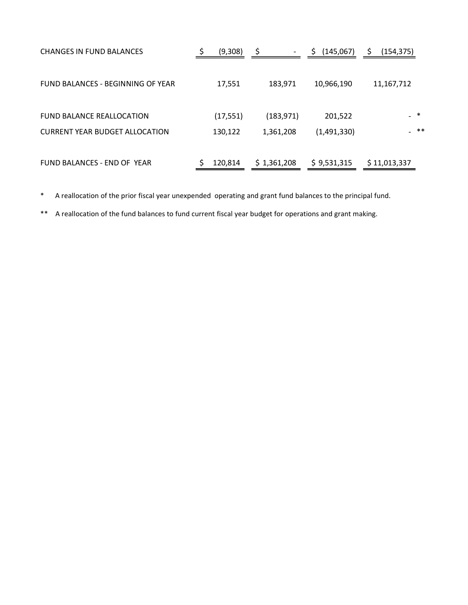| <b>CHANGES IN FUND BALANCES</b>                                           | (9,308)   | $\overline{\phantom{a}}$ | (145,067)   | (154, 375)   |       |
|---------------------------------------------------------------------------|-----------|--------------------------|-------------|--------------|-------|
| FUND BALANCES - BEGINNING OF YEAR                                         | 17,551    | 183,971                  | 10,966,190  | 11, 167, 712 |       |
| <b>FUND BALANCE REALLOCATION</b><br><b>CURRENT YEAR BUDGET ALLOCATION</b> | (17, 551) | (183, 971)               | 201,522     | $-$ *        | $***$ |
|                                                                           | 130,122   | 1,361,208                | (1,491,330) |              |       |
| FUND BALANCES - END OF YEAR                                               | 120,814   | \$1,361,208              | \$9,531,315 | \$11,013,337 |       |

\* A reallocation of the prior fiscal year unexpended operating and grant fund balances to the principal fund.

\*\* A reallocation of the fund balances to fund current fiscal year budget for operations and grant making.